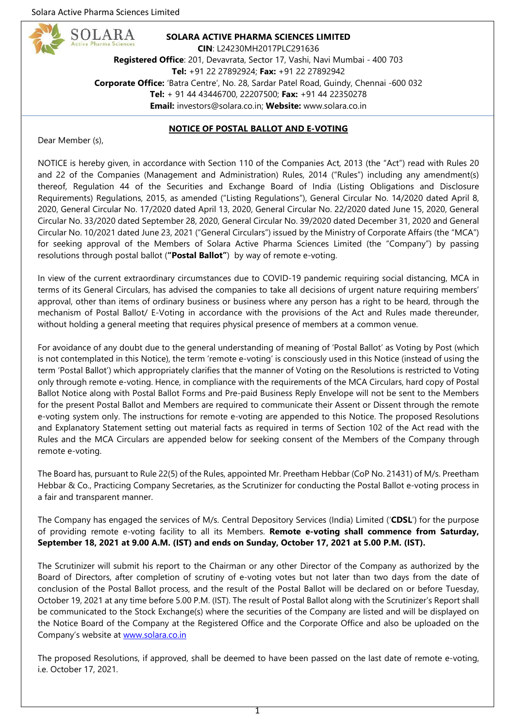

#### **SOLARA ACTIVE PHARMA SCIENCES LIMITED**

**CIN**: L24230MH2017PLC291636 **Registered Office**: 201, Devavrata, Sector 17, Vashi, Navi Mumbai - 400 703 **Tel:** +91 22 27892924; **Fax:** +91 22 27892942 **Corporate Office:** 'Batra Centre', No. 28, Sardar Patel Road, Guindy, Chennai -600 032 **Tel:** + 91 44 43446700, 22207500; **Fax:** +91 44 22350278 **Email:** investors@solara.co.in; **Website:** www.solara.co.in

#### **NOTICE OF POSTAL BALLOT AND E-VOTING**

Dear Member (s),

NOTICE is hereby given, in accordance with Section 110 of the Companies Act, 2013 (the "Act") read with Rules 20 and 22 of the Companies (Management and Administration) Rules, 2014 ("Rules") including any amendment(s) thereof, Regulation 44 of the Securities and Exchange Board of India (Listing Obligations and Disclosure Requirements) Regulations, 2015, as amended ("Listing Regulations"), General Circular No. 14/2020 dated April 8, 2020, General Circular No. 17/2020 dated April 13, 2020, General Circular No. 22/2020 dated June 15, 2020, General Circular No. 33/2020 dated September 28, 2020, General Circular No. 39/2020 dated December 31, 2020 and General Circular No. 10/2021 dated June 23, 2021 ("General Circulars") issued by the Ministry of Corporate Affairs (the "MCA") for seeking approval of the Members of Solara Active Pharma Sciences Limited (the "Company") by passing resolutions through postal ballot (**"Postal Ballot"**) by way of remote e-voting.

In view of the current extraordinary circumstances due to COVID-19 pandemic requiring social distancing, MCA in terms of its General Circulars, has advised the companies to take all decisions of urgent nature requiring members' approval, other than items of ordinary business or business where any person has a right to be heard, through the mechanism of Postal Ballot/ E-Voting in accordance with the provisions of the Act and Rules made thereunder, without holding a general meeting that requires physical presence of members at a common venue.

For avoidance of any doubt due to the general understanding of meaning of 'Postal Ballot' as Voting by Post (which is not contemplated in this Notice), the term 'remote e-voting' is consciously used in this Notice (instead of using the term 'Postal Ballot') which appropriately clarifies that the manner of Voting on the Resolutions is restricted to Voting only through remote e-voting. Hence, in compliance with the requirements of the MCA Circulars, hard copy of Postal Ballot Notice along with Postal Ballot Forms and Pre-paid Business Reply Envelope will not be sent to the Members for the present Postal Ballot and Members are required to communicate their Assent or Dissent through the remote e-voting system only. The instructions for remote e-voting are appended to this Notice. The proposed Resolutions and Explanatory Statement setting out material facts as required in terms of Section 102 of the Act read with the Rules and the MCA Circulars are appended below for seeking consent of the Members of the Company through remote e-voting.

The Board has, pursuant to Rule 22(5) of the Rules, appointed Mr. Preetham Hebbar (CoP No. 21431) of M/s. Preetham Hebbar & Co., Practicing Company Secretaries, as the Scrutinizer for conducting the Postal Ballot e-voting process in a fair and transparent manner.

The Company has engaged the services of M/s. Central Depository Services (India) Limited ('**CDSL**') for the purpose of providing remote e-voting facility to all its Members. **Remote e-voting shall commence from Saturday, September 18, 2021 at 9.00 A.M. (IST) and ends on Sunday, October 17, 2021 at 5.00 P.M. (IST).**

The Scrutinizer will submit his report to the Chairman or any other Director of the Company as authorized by the Board of Directors, after completion of scrutiny of e-voting votes but not later than two days from the date of conclusion of the Postal Ballot process, and the result of the Postal Ballot will be declared on or before Tuesday, October 19, 2021 at any time before 5.00 P.M. (IST). The result of Postal Ballot along with the Scrutinizer's Report shall be communicated to the Stock Exchange(s) where the securities of the Company are listed and will be displayed on the Notice Board of the Company at the Registered Office and the Corporate Office and also be uploaded on the Company's website at [www.solara.co.in](http://www.solara.co.in/)

The proposed Resolutions, if approved, shall be deemed to have been passed on the last date of remote e-voting, i.e. October 17, 2021.

1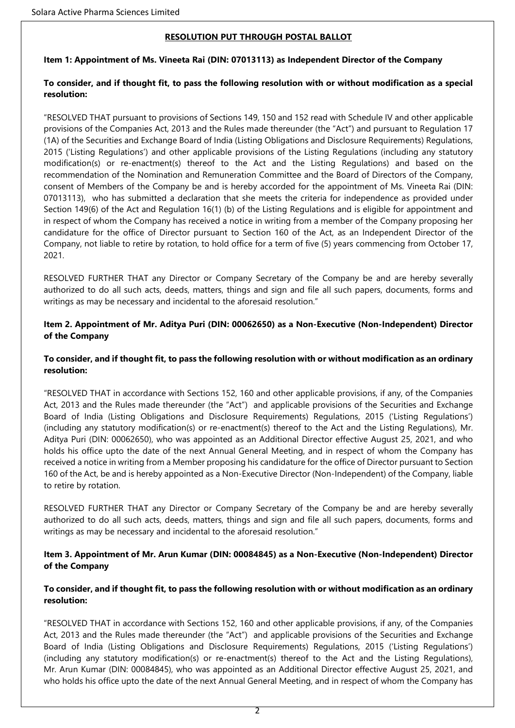## **RESOLUTION PUT THROUGH POSTAL BALLOT**

### **Item 1: Appointment of Ms. Vineeta Rai (DIN: 07013113) as Independent Director of the Company**

#### **To consider, and if thought fit, to pass the following resolution with or without modification as a special resolution:**

"RESOLVED THAT pursuant to provisions of Sections 149, 150 and 152 read with Schedule IV and other applicable provisions of the Companies Act, 2013 and the Rules made thereunder (the "Act") and pursuant to Regulation 17 (1A) of the Securities and Exchange Board of India (Listing Obligations and Disclosure Requirements) Regulations, 2015 ('Listing Regulations') and other applicable provisions of the Listing Regulations (including any statutory modification(s) or re-enactment(s) thereof to the Act and the Listing Regulations) and based on the recommendation of the Nomination and Remuneration Committee and the Board of Directors of the Company, consent of Members of the Company be and is hereby accorded for the appointment of Ms. Vineeta Rai (DIN: 07013113), who has submitted a declaration that she meets the criteria for independence as provided under Section 149(6) of the Act and Regulation 16(1) (b) of the Listing Regulations and is eligible for appointment and in respect of whom the Company has received a notice in writing from a member of the Company proposing her candidature for the office of Director pursuant to Section 160 of the Act, as an Independent Director of the Company, not liable to retire by rotation, to hold office for a term of five (5) years commencing from October 17, 2021.

RESOLVED FURTHER THAT any Director or Company Secretary of the Company be and are hereby severally authorized to do all such acts, deeds, matters, things and sign and file all such papers, documents, forms and writings as may be necessary and incidental to the aforesaid resolution."

### **Item 2. Appointment of Mr. Aditya Puri (DIN: 00062650) as a Non-Executive (Non-Independent) Director of the Company**

## **To consider, and if thought fit, to pass the following resolution with or without modification as an ordinary resolution:**

"RESOLVED THAT in accordance with Sections 152, 160 and other applicable provisions, if any, of the Companies Act, 2013 and the Rules made thereunder (the "Act") and applicable provisions of the Securities and Exchange Board of India (Listing Obligations and Disclosure Requirements) Regulations, 2015 ('Listing Regulations') (including any statutory modification(s) or re-enactment(s) thereof to the Act and the Listing Regulations), Mr. Aditya Puri (DIN: 00062650), who was appointed as an Additional Director effective August 25, 2021, and who holds his office upto the date of the next Annual General Meeting, and in respect of whom the Company has received a notice in writing from a Member proposing his candidature for the office of Director pursuant to Section 160 of the Act, be and is hereby appointed as a Non-Executive Director (Non-Independent) of the Company, liable to retire by rotation.

RESOLVED FURTHER THAT any Director or Company Secretary of the Company be and are hereby severally authorized to do all such acts, deeds, matters, things and sign and file all such papers, documents, forms and writings as may be necessary and incidental to the aforesaid resolution."

## **Item 3. Appointment of Mr. Arun Kumar (DIN: 00084845) as a Non-Executive (Non-Independent) Director of the Company**

#### **To consider, and if thought fit, to pass the following resolution with or without modification as an ordinary resolution:**

"RESOLVED THAT in accordance with Sections 152, 160 and other applicable provisions, if any, of the Companies Act, 2013 and the Rules made thereunder (the "Act") and applicable provisions of the Securities and Exchange Board of India (Listing Obligations and Disclosure Requirements) Regulations, 2015 ('Listing Regulations') (including any statutory modification(s) or re-enactment(s) thereof to the Act and the Listing Regulations), Mr. Arun Kumar (DIN: 00084845), who was appointed as an Additional Director effective August 25, 2021, and who holds his office upto the date of the next Annual General Meeting, and in respect of whom the Company has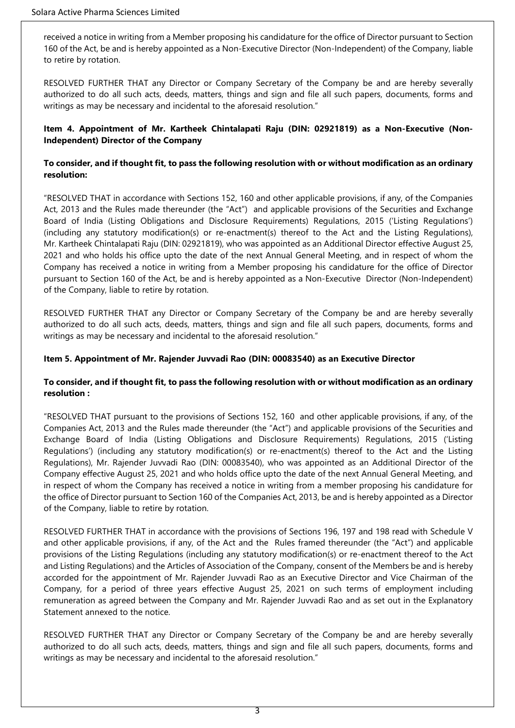received a notice in writing from a Member proposing his candidature for the office of Director pursuant to Section 160 of the Act, be and is hereby appointed as a Non-Executive Director (Non-Independent) of the Company, liable to retire by rotation.

RESOLVED FURTHER THAT any Director or Company Secretary of the Company be and are hereby severally authorized to do all such acts, deeds, matters, things and sign and file all such papers, documents, forms and writings as may be necessary and incidental to the aforesaid resolution."

## **Item 4. Appointment of Mr. Kartheek Chintalapati Raju (DIN: 02921819) as a Non-Executive (Non-Independent) Director of the Company**

## **To consider, and if thought fit, to pass the following resolution with or without modification as an ordinary resolution:**

"RESOLVED THAT in accordance with Sections 152, 160 and other applicable provisions, if any, of the Companies Act, 2013 and the Rules made thereunder (the "Act") and applicable provisions of the Securities and Exchange Board of India (Listing Obligations and Disclosure Requirements) Regulations, 2015 ('Listing Regulations') (including any statutory modification(s) or re-enactment(s) thereof to the Act and the Listing Regulations), Mr. Kartheek Chintalapati Raju (DIN: 02921819), who was appointed as an Additional Director effective August 25, 2021 and who holds his office upto the date of the next Annual General Meeting, and in respect of whom the Company has received a notice in writing from a Member proposing his candidature for the office of Director pursuant to Section 160 of the Act, be and is hereby appointed as a Non-Executive Director (Non-Independent) of the Company, liable to retire by rotation.

RESOLVED FURTHER THAT any Director or Company Secretary of the Company be and are hereby severally authorized to do all such acts, deeds, matters, things and sign and file all such papers, documents, forms and writings as may be necessary and incidental to the aforesaid resolution."

## **Item 5. Appointment of Mr. Rajender Juvvadi Rao (DIN: 00083540) as an Executive Director**

# **To consider, and if thought fit, to pass the following resolution with or without modification as an ordinary resolution :**

"RESOLVED THAT pursuant to the provisions of Sections 152, 160 and other applicable provisions, if any, of the Companies Act, 2013 and the Rules made thereunder (the "Act") and applicable provisions of the Securities and Exchange Board of India (Listing Obligations and Disclosure Requirements) Regulations, 2015 ('Listing Regulations') (including any statutory modification(s) or re-enactment(s) thereof to the Act and the Listing Regulations), Mr. Rajender Juvvadi Rao (DIN: 00083540), who was appointed as an Additional Director of the Company effective August 25, 2021 and who holds office upto the date of the next Annual General Meeting, and in respect of whom the Company has received a notice in writing from a member proposing his candidature for the office of Director pursuant to Section 160 of the Companies Act, 2013, be and is hereby appointed as a Director of the Company, liable to retire by rotation.

RESOLVED FURTHER THAT in accordance with the provisions of Sections 196, 197 and 198 read with Schedule V and other applicable provisions, if any, of the Act and the Rules framed thereunder (the "Act") and applicable provisions of the Listing Regulations (including any statutory modification(s) or re-enactment thereof to the Act and Listing Regulations) and the Articles of Association of the Company, consent of the Members be and is hereby accorded for the appointment of Mr. Rajender Juvvadi Rao as an Executive Director and Vice Chairman of the Company, for a period of three years effective August 25, 2021 on such terms of employment including remuneration as agreed between the Company and Mr. Rajender Juvvadi Rao and as set out in the Explanatory Statement annexed to the notice.

RESOLVED FURTHER THAT any Director or Company Secretary of the Company be and are hereby severally authorized to do all such acts, deeds, matters, things and sign and file all such papers, documents, forms and writings as may be necessary and incidental to the aforesaid resolution."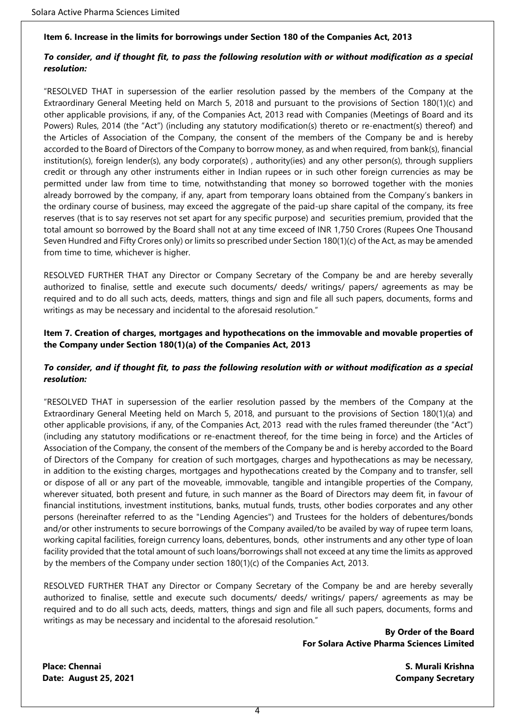#### **Item 6. Increase in the limits for borrowings under Section 180 of the Companies Act, 2013**

#### *To consider, and if thought fit, to pass the following resolution with or without modification as a special resolution:*

"RESOLVED THAT in supersession of the earlier resolution passed by the members of the Company at the Extraordinary General Meeting held on March 5, 2018 and pursuant to the provisions of Section 180(1)(c) and other applicable provisions, if any, of the Companies Act, 2013 read with Companies (Meetings of Board and its Powers) Rules, 2014 (the "Act") (including any statutory modification(s) thereto or re-enactment(s) thereof) and the Articles of Association of the Company, the consent of the members of the Company be and is hereby accorded to the Board of Directors of the Company to borrow money, as and when required, from bank(s), financial institution(s), foreign lender(s), any body corporate(s) , authority(ies) and any other person(s), through suppliers credit or through any other instruments either in Indian rupees or in such other foreign currencies as may be permitted under law from time to time, notwithstanding that money so borrowed together with the monies already borrowed by the company, if any, apart from temporary loans obtained from the Company's bankers in the ordinary course of business, may exceed the aggregate of the paid-up share capital of the company, its free reserves (that is to say reserves not set apart for any specific purpose) and securities premium, provided that the total amount so borrowed by the Board shall not at any time exceed of INR 1,750 Crores (Rupees One Thousand Seven Hundred and Fifty Crores only) or limits so prescribed under Section 180(1)(c) of the Act, as may be amended from time to time, whichever is higher.

RESOLVED FURTHER THAT any Director or Company Secretary of the Company be and are hereby severally authorized to finalise, settle and execute such documents/ deeds/ writings/ papers/ agreements as may be required and to do all such acts, deeds, matters, things and sign and file all such papers, documents, forms and writings as may be necessary and incidental to the aforesaid resolution."

#### **Item 7. Creation of charges, mortgages and hypothecations on the immovable and movable properties of the Company under Section 180(1)(a) of the Companies Act, 2013**

#### *To consider, and if thought fit, to pass the following resolution with or without modification as a special resolution:*

"RESOLVED THAT in supersession of the earlier resolution passed by the members of the Company at the Extraordinary General Meeting held on March 5, 2018, and pursuant to the provisions of Section 180(1)(a) and other applicable provisions, if any, of the Companies Act, 2013 read with the rules framed thereunder (the "Act") (including any statutory modifications or re-enactment thereof, for the time being in force) and the Articles of Association of the Company, the consent of the members of the Company be and is hereby accorded to the Board of Directors of the Company for creation of such mortgages, charges and hypothecations as may be necessary, in addition to the existing charges, mortgages and hypothecations created by the Company and to transfer, sell or dispose of all or any part of the moveable, immovable, tangible and intangible properties of the Company, wherever situated, both present and future, in such manner as the Board of Directors may deem fit, in favour of financial institutions, investment institutions, banks, mutual funds, trusts, other bodies corporates and any other persons (hereinafter referred to as the "Lending Agencies") and Trustees for the holders of debentures/bonds and/or other instruments to secure borrowings of the Company availed/to be availed by way of rupee term loans, working capital facilities, foreign currency loans, debentures, bonds, other instruments and any other type of loan facility provided that the total amount of such loans/borrowings shall not exceed at any time the limits as approved by the members of the Company under section 180(1)(c) of the Companies Act, 2013.

RESOLVED FURTHER THAT any Director or Company Secretary of the Company be and are hereby severally authorized to finalise, settle and execute such documents/ deeds/ writings/ papers/ agreements as may be required and to do all such acts, deeds, matters, things and sign and file all such papers, documents, forms and writings as may be necessary and incidental to the aforesaid resolution."

> **By Order of the Board For Solara Active Pharma Sciences Limited**

**Place: Chennai S. Murali Krishna Date: August 25, 2021 Company Secretary**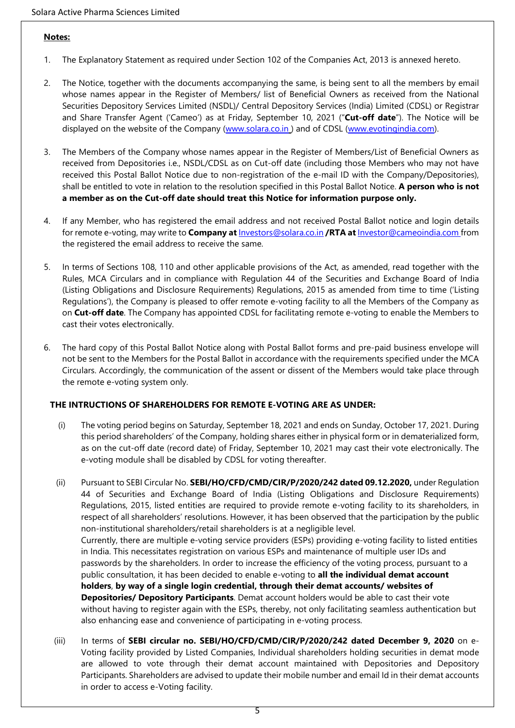# **Notes:**

- 1. The Explanatory Statement as required under Section 102 of the Companies Act, 2013 is annexed hereto.
- 2. The Notice, together with the documents accompanying the same, is being sent to all the members by email whose names appear in the Register of Members/ list of Beneficial Owners as received from the National Securities Depository Services Limited (NSDL)/ Central Depository Services (India) Limited (CDSL) or Registrar and Share Transfer Agent ('Cameo') as at Friday, September 10, 2021 ("**Cut-off date**"). The Notice will be displayed on the website of the Company [\(www.solara.co.in](http://www.solara.co.in/) ) and of CDSL [\(www.evotingindia.com\)](http://www.evotingindia.com/).
- 3. The Members of the Company whose names appear in the Register of Members/List of Beneficial Owners as received from Depositories i.e., NSDL/CDSL as on Cut-off date (including those Members who may not have received this Postal Ballot Notice due to non-registration of the e-mail ID with the Company/Depositories), shall be entitled to vote in relation to the resolution specified in this Postal Ballot Notice. **A person who is not a member as on the Cut-off date should treat this Notice for information purpose only.**
- 4. If any Member, who has registered the email address and not received Postal Ballot notice and login details for remote e-voting, may write to **Company at** [Investors@solara.co.in](mailto:Investors@solara.co.in) **/RTA at** [Investor@cameoindia.com](mailto:Investor@cameoindia.com) from the registered the email address to receive the same.
- 5. In terms of Sections 108, 110 and other applicable provisions of the Act, as amended, read together with the Rules, MCA Circulars and in compliance with Regulation 44 of the Securities and Exchange Board of India (Listing Obligations and Disclosure Requirements) Regulations, 2015 as amended from time to time ('Listing Regulations'), the Company is pleased to offer remote e-voting facility to all the Members of the Company as on **Cut-off date**. The Company has appointed CDSL for facilitating remote e-voting to enable the Members to cast their votes electronically.
- 6. The hard copy of this Postal Ballot Notice along with Postal Ballot forms and pre-paid business envelope will not be sent to the Members for the Postal Ballot in accordance with the requirements specified under the MCA Circulars. Accordingly, the communication of the assent or dissent of the Members would take place through the remote e-voting system only.

## **THE INTRUCTIONS OF SHAREHOLDERS FOR REMOTE E-VOTING ARE AS UNDER:**

- (i) The voting period begins on Saturday, September 18, 2021 and ends on Sunday, October 17, 2021. During this period shareholders' of the Company, holding shares either in physical form or in dematerialized form, as on the cut-off date (record date) of Friday, September 10, 2021 may cast their vote electronically. The e-voting module shall be disabled by CDSL for voting thereafter.
- (ii) Pursuant to SEBI Circular No. **SEBI/HO/CFD/CMD/CIR/P/2020/242 dated 09.12.2020,** under Regulation 44 of Securities and Exchange Board of India (Listing Obligations and Disclosure Requirements) Regulations, 2015, listed entities are required to provide remote e-voting facility to its shareholders, in respect of all shareholders' resolutions. However, it has been observed that the participation by the public non-institutional shareholders/retail shareholders is at a negligible level. Currently, there are multiple e-voting service providers (ESPs) providing e-voting facility to listed entities in India. This necessitates registration on various ESPs and maintenance of multiple user IDs and passwords by the shareholders. In order to increase the efficiency of the voting process, pursuant to a public consultation, it has been decided to enable e-voting to **all the individual demat account holders**, **by way of a single login credential, through their demat accounts/ websites of Depositories/ Depository Participants**. Demat account holders would be able to cast their vote without having to register again with the ESPs, thereby, not only facilitating seamless authentication but also enhancing ease and convenience of participating in e-voting process.
- (iii) In terms of **SEBI circular no. SEBI/HO/CFD/CMD/CIR/P/2020/242 dated December 9, 2020** on e-Voting facility provided by Listed Companies, Individual shareholders holding securities in demat mode are allowed to vote through their demat account maintained with Depositories and Depository Participants. Shareholders are advised to update their mobile number and email Id in their demat accounts in order to access e-Voting facility.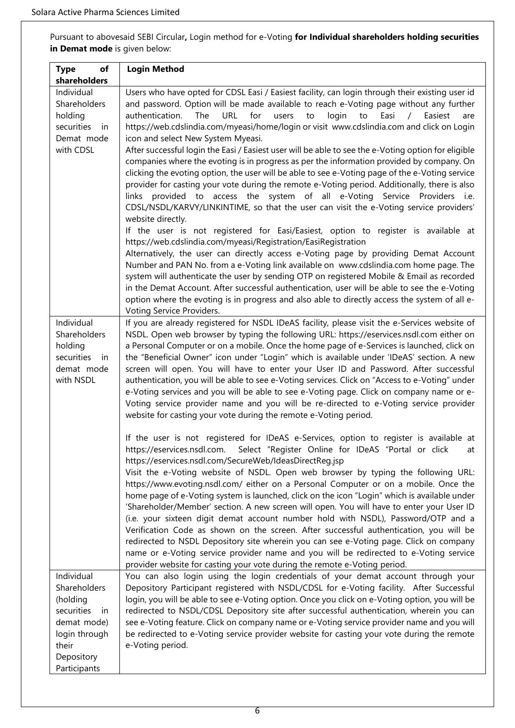Pursuant to abovesaid SEBI Circular**,** Login method for e-Voting **for Individual shareholders holding securities in Demat mode** is given below:

| of<br><b>Type</b><br>shareholders                                                                                                 | <b>Login Method</b>                                                                                                                                                                                                                                                                                                                                                                                                                                                                                                                                                                                                                                                                                                                                                                                                                                                                                                                                                                                                                                                                                                                                                                                                                                                                                                                                                                                                                                                                                                                                                                                                                                                                                                                                                  |
|-----------------------------------------------------------------------------------------------------------------------------------|----------------------------------------------------------------------------------------------------------------------------------------------------------------------------------------------------------------------------------------------------------------------------------------------------------------------------------------------------------------------------------------------------------------------------------------------------------------------------------------------------------------------------------------------------------------------------------------------------------------------------------------------------------------------------------------------------------------------------------------------------------------------------------------------------------------------------------------------------------------------------------------------------------------------------------------------------------------------------------------------------------------------------------------------------------------------------------------------------------------------------------------------------------------------------------------------------------------------------------------------------------------------------------------------------------------------------------------------------------------------------------------------------------------------------------------------------------------------------------------------------------------------------------------------------------------------------------------------------------------------------------------------------------------------------------------------------------------------------------------------------------------------|
| Individual<br>Shareholders<br>holding<br>securities<br>in<br>Demat mode<br>with CDSL                                              | Users who have opted for CDSL Easi / Easiest facility, can login through their existing user id<br>and password. Option will be made available to reach e-Voting page without any further<br>authentication.<br><b>URL</b><br>for<br>login<br>The<br>users<br>to<br>to<br>Easi<br>Easiest<br>$\sqrt{2}$<br>are<br>https://web.cdslindia.com/myeasi/home/login or visit www.cdslindia.com and click on Login<br>icon and select New System Myeasi.<br>After successful login the Easi / Easiest user will be able to see the e-Voting option for eligible<br>companies where the evoting is in progress as per the information provided by company. On<br>clicking the evoting option, the user will be able to see e-Voting page of the e-Voting service<br>provider for casting your vote during the remote e-Voting period. Additionally, there is also<br>links provided to access the system of all e-Voting Service Providers i.e.<br>CDSL/NSDL/KARVY/LINKINTIME, so that the user can visit the e-Voting service providers'<br>website directly.<br>If the user is not registered for Easi/Easiest, option to register is available at<br>https://web.cdslindia.com/myeasi/Registration/EasiRegistration<br>Alternatively, the user can directly access e-Voting page by providing Demat Account<br>Number and PAN No. from a e-Voting link available on www.cdslindia.com home page. The<br>system will authenticate the user by sending OTP on registered Mobile & Email as recorded<br>in the Demat Account. After successful authentication, user will be able to see the e-Voting<br>option where the evoting is in progress and also able to directly access the system of all e-                                                                        |
| Individual<br>Shareholders<br>holding<br>securities<br>in<br>demat mode<br>with NSDL                                              | Voting Service Providers.<br>If you are already registered for NSDL IDeAS facility, please visit the e-Services website of<br>NSDL. Open web browser by typing the following URL: https://eservices.nsdl.com either on<br>a Personal Computer or on a mobile. Once the home page of e-Services is launched, click on<br>the "Beneficial Owner" icon under "Login" which is available under 'IDeAS' section. A new<br>screen will open. You will have to enter your User ID and Password. After successful<br>authentication, you will be able to see e-Voting services. Click on "Access to e-Voting" under<br>e-Voting services and you will be able to see e-Voting page. Click on company name or e-<br>Voting service provider name and you will be re-directed to e-Voting service provider<br>website for casting your vote during the remote e-Voting period.<br>If the user is not registered for IDeAS e-Services, option to register is available at<br>https://eservices.nsdl.com. Select "Register Online for IDeAS "Portal or click<br>at<br>https://eservices.nsdl.com/SecureWeb/IdeasDirectReg.jsp<br>Visit the e-Voting website of NSDL. Open web browser by typing the following URL:<br>https://www.evoting.nsdl.com/ either on a Personal Computer or on a mobile. Once the<br>home page of e-Voting system is launched, click on the icon "Login" which is available under<br>'Shareholder/Member' section. A new screen will open. You will have to enter your User ID<br>(i.e. your sixteen digit demat account number hold with NSDL), Password/OTP and a<br>Verification Code as shown on the screen. After successful authentication, you will be<br>redirected to NSDL Depository site wherein you can see e-Voting page. Click on company |
| Individual<br>Shareholders<br>(holding<br>securities<br>in<br>demat mode)<br>login through<br>their<br>Depository<br>Participants | name or e-Voting service provider name and you will be redirected to e-Voting service<br>provider website for casting your vote during the remote e-Voting period.<br>You can also login using the login credentials of your demat account through your<br>Depository Participant registered with NSDL/CDSL for e-Voting facility. After Successful<br>login, you will be able to see e-Voting option. Once you click on e-Voting option, you will be<br>redirected to NSDL/CDSL Depository site after successful authentication, wherein you can<br>see e-Voting feature. Click on company name or e-Voting service provider name and you will<br>be redirected to e-Voting service provider website for casting your vote during the remote<br>e-Voting period.                                                                                                                                                                                                                                                                                                                                                                                                                                                                                                                                                                                                                                                                                                                                                                                                                                                                                                                                                                                                    |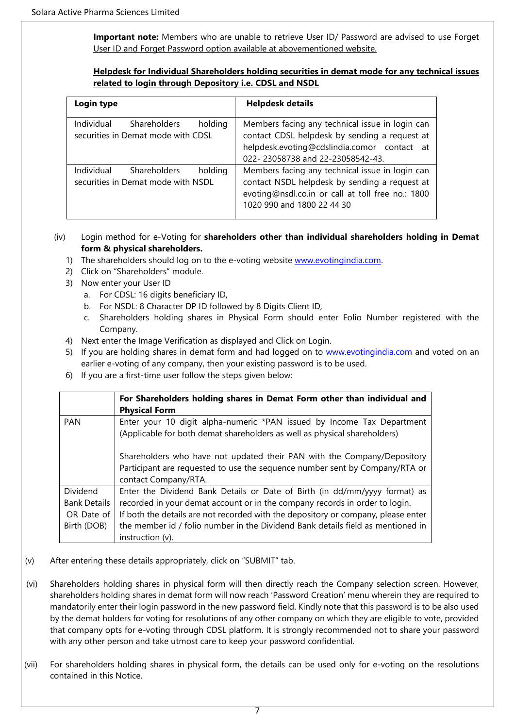**Important note:** Members who are unable to retrieve User ID/ Password are advised to use Forget User ID and Forget Password option available at abovementioned website.

## **Helpdesk for Individual Shareholders holding securities in demat mode for any technical issues related to login through Depository i.e. CDSL and NSDL**

| Login type                         | <b>Helpdesk details</b>                           |
|------------------------------------|---------------------------------------------------|
| Individual                         | Members facing any technical issue in login can   |
| <b>Shareholders</b>                | contact CDSL helpdesk by sending a request at     |
| holding                            | helpdesk.evoting@cdslindia.comor contact at       |
| securities in Demat mode with CDSL | 022-23058738 and 22-23058542-43.                  |
| Individual                         | Members facing any technical issue in login can   |
| Shareholders                       | contact NSDL helpdesk by sending a request at     |
| holding                            | evoting@nsdl.co.in or call at toll free no.: 1800 |
| securities in Demat mode with NSDL | 1020 990 and 1800 22 44 30                        |

## (iv) Login method for e-Voting for **shareholders other than individual shareholders holding in Demat form & physical shareholders.**

- 1) The shareholders should log on to the e-voting website [www.evotingindia.com.](http://www.evotingindia.com/)
- 2) Click on "Shareholders" module.
- 3) Now enter your User ID
	- a. For CDSL: 16 digits beneficiary ID,
	- b. For NSDL: 8 Character DP ID followed by 8 Digits Client ID,
	- c. Shareholders holding shares in Physical Form should enter Folio Number registered with the Company.
- 4) Next enter the Image Verification as displayed and Click on Login.
- 5) If you are holding shares in demat form and had logged on to [www.evotingindia.com](http://www.evotingindia.com/) and voted on an earlier e-voting of any company, then your existing password is to be used.
- 6) If you are a first-time user follow the steps given below:

|                     | For Shareholders holding shares in Demat Form other than individual and<br><b>Physical Form</b>                                                                                |
|---------------------|--------------------------------------------------------------------------------------------------------------------------------------------------------------------------------|
| <b>PAN</b>          | Enter your 10 digit alpha-numeric *PAN issued by Income Tax Department<br>(Applicable for both demat shareholders as well as physical shareholders)                            |
|                     | Shareholders who have not updated their PAN with the Company/Depository<br>Participant are requested to use the sequence number sent by Company/RTA or<br>contact Company/RTA. |
| Dividend            | Enter the Dividend Bank Details or Date of Birth (in dd/mm/yyyy format) as                                                                                                     |
| <b>Bank Details</b> | recorded in your demat account or in the company records in order to login.                                                                                                    |
| OR Date of          | If both the details are not recorded with the depository or company, please enter                                                                                              |
| Birth (DOB)         | the member id / folio number in the Dividend Bank details field as mentioned in                                                                                                |
|                     | instruction $(v)$ .                                                                                                                                                            |

- (v) After entering these details appropriately, click on "SUBMIT" tab.
- (vi) Shareholders holding shares in physical form will then directly reach the Company selection screen. However, shareholders holding shares in demat form will now reach 'Password Creation' menu wherein they are required to mandatorily enter their login password in the new password field. Kindly note that this password is to be also used by the demat holders for voting for resolutions of any other company on which they are eligible to vote, provided that company opts for e-voting through CDSL platform. It is strongly recommended not to share your password with any other person and take utmost care to keep your password confidential.
- (vii) For shareholders holding shares in physical form, the details can be used only for e-voting on the resolutions contained in this Notice.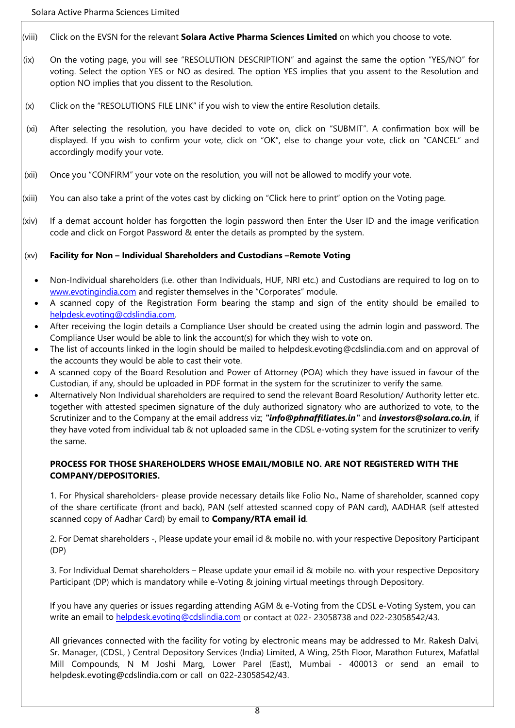- (viii) Click on the EVSN for the relevant **Solara Active Pharma Sciences Limited** on which you choose to vote.
- (ix) On the voting page, you will see "RESOLUTION DESCRIPTION" and against the same the option "YES/NO" for voting. Select the option YES or NO as desired. The option YES implies that you assent to the Resolution and option NO implies that you dissent to the Resolution.
- (x) Click on the "RESOLUTIONS FILE LINK" if you wish to view the entire Resolution details.
- (xi) After selecting the resolution, you have decided to vote on, click on "SUBMIT". A confirmation box will be displayed. If you wish to confirm your vote, click on "OK", else to change your vote, click on "CANCEL" and accordingly modify your vote.
- (xii) Once you "CONFIRM" your vote on the resolution, you will not be allowed to modify your vote.
- (xiii) You can also take a print of the votes cast by clicking on "Click here to print" option on the Voting page.
- (xiv) If a demat account holder has forgotten the login password then Enter the User ID and the image verification code and click on Forgot Password & enter the details as prompted by the system.

#### (xv) **Facility for Non – Individual Shareholders and Custodians –Remote Voting**

- Non-Individual shareholders (i.e. other than Individuals, HUF, NRI etc.) and Custodians are required to log on to [www.evotingindia.com](http://www.evotingindia.com/) and register themselves in the "Corporates" module.
- A scanned copy of the Registration Form bearing the stamp and sign of the entity should be emailed to [helpdesk.evoting@cdslindia.com.](mailto:helpdesk.evoting@cdslindia.com)
- After receiving the login details a Compliance User should be created using the admin login and password. The Compliance User would be able to link the account(s) for which they wish to vote on.
- The list of accounts linked in the login should be mailed to helpdesk.evoting@cdslindia.com and on approval of the accounts they would be able to cast their vote.
- A scanned copy of the Board Resolution and Power of Attorney (POA) which they have issued in favour of the Custodian, if any, should be uploaded in PDF format in the system for the scrutinizer to verify the same.
- Alternatively Non Individual shareholders are required to send the relevant Board Resolution/ Authority letter etc. together with attested specimen signature of the duly authorized signatory who are authorized to vote, to the Scrutinizer and to the Company at the email address viz; *"info@phnaffiliates.in"* and *investors@solara.co.in*, if they have voted from individual tab & not uploaded same in the CDSL e-voting system for the scrutinizer to verify the same.

#### **PROCESS FOR THOSE SHAREHOLDERS WHOSE EMAIL/MOBILE NO. ARE NOT REGISTERED WITH THE COMPANY/DEPOSITORIES.**

1. For Physical shareholders- please provide necessary details like Folio No., Name of shareholder, scanned copy of the share certificate (front and back), PAN (self attested scanned copy of PAN card), AADHAR (self attested scanned copy of Aadhar Card) by email to **Company/RTA email id**.

2. For Demat shareholders -, Please update your email id & mobile no. with your respective Depository Participant (DP)

3. For Individual Demat shareholders – Please update your email id & mobile no. with your respective Depository Participant (DP) which is mandatory while e-Voting & joining virtual meetings through Depository.

If you have any queries or issues regarding attending AGM & e-Voting from the CDSL e-Voting System, you can write an email to [helpdesk.evoting@cdslindia.com](mailto:helpdesk.evoting@cdslindia.com) or contact at 022-23058738 and 022-23058542/43.

All grievances connected with the facility for voting by electronic means may be addressed to Mr. Rakesh Dalvi, Sr. Manager, (CDSL, ) Central Depository Services (India) Limited, A Wing, 25th Floor, Marathon Futurex, Mafatlal Mill Compounds, N M Joshi Marg, Lower Parel (East), Mumbai - 400013 or send an email to [helpdesk.evoting@cdslindia.com](mailto:helpdesk.evoting@cdslindia.com) or call on 022-23058542/43.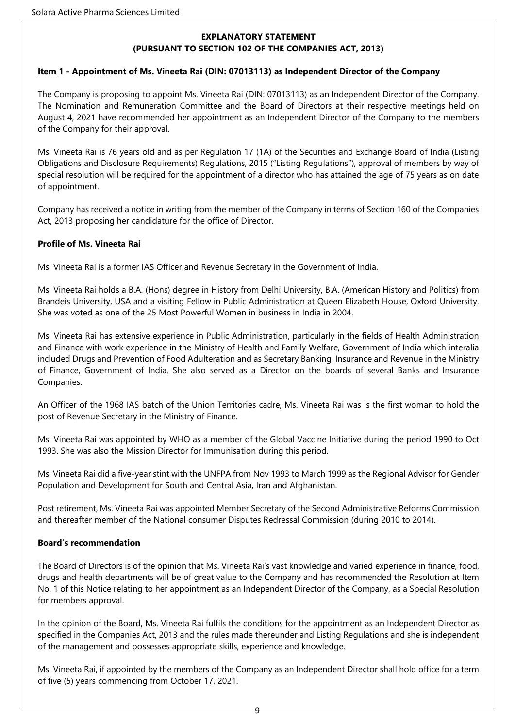### **EXPLANATORY STATEMENT (PURSUANT TO SECTION 102 OF THE COMPANIES ACT, 2013)**

## **Item 1 - Appointment of Ms. Vineeta Rai (DIN: 07013113) as Independent Director of the Company**

The Company is proposing to appoint Ms. Vineeta Rai (DIN: 07013113) as an Independent Director of the Company. The Nomination and Remuneration Committee and the Board of Directors at their respective meetings held on August 4, 2021 have recommended her appointment as an Independent Director of the Company to the members of the Company for their approval.

Ms. Vineeta Rai is 76 years old and as per Regulation 17 (1A) of the Securities and Exchange Board of India (Listing Obligations and Disclosure Requirements) Regulations, 2015 ("Listing Regulations"), approval of members by way of special resolution will be required for the appointment of a director who has attained the age of 75 years as on date of appointment.

Company has received a notice in writing from the member of the Company in terms of Section 160 of the Companies Act, 2013 proposing her candidature for the office of Director.

#### **Profile of Ms. Vineeta Rai**

Ms. Vineeta Rai is a former IAS Officer and Revenue Secretary in the Government of India.

Ms. Vineeta Rai holds a B.A. (Hons) degree in History from Delhi University, B.A. (American History and Politics) from Brandeis University, USA and a visiting Fellow in Public Administration at Queen Elizabeth House, Oxford University. She was voted as one of the 25 Most Powerful Women in business in India in 2004.

Ms. Vineeta Rai has extensive experience in Public Administration, particularly in the fields of Health Administration and Finance with work experience in the Ministry of Health and Family Welfare, Government of India which interalia included Drugs and Prevention of Food Adulteration and as Secretary Banking, Insurance and Revenue in the Ministry of Finance, Government of India. She also served as a Director on the boards of several Banks and Insurance Companies.

An Officer of the 1968 IAS batch of the Union Territories cadre, Ms. Vineeta Rai was is the first woman to hold the post of Revenue Secretary in the Ministry of Finance.

Ms. Vineeta Rai was appointed by WHO as a member of the Global Vaccine Initiative during the period 1990 to Oct 1993. She was also the Mission Director for Immunisation during this period.

Ms. Vineeta Rai did a five-year stint with the UNFPA from Nov 1993 to March 1999 as the Regional Advisor for Gender Population and Development for South and Central Asia, Iran and Afghanistan.

Post retirement, Ms. Vineeta Rai was appointed Member Secretary of the Second Administrative Reforms Commission and thereafter member of the National consumer Disputes Redressal Commission (during 2010 to 2014).

#### **Board's recommendation**

The Board of Directors is of the opinion that Ms. Vineeta Rai's vast knowledge and varied experience in finance, food, drugs and health departments will be of great value to the Company and has recommended the Resolution at Item No. 1 of this Notice relating to her appointment as an Independent Director of the Company, as a Special Resolution for members approval.

In the opinion of the Board, Ms. Vineeta Rai fulfils the conditions for the appointment as an Independent Director as specified in the Companies Act, 2013 and the rules made thereunder and Listing Regulations and she is independent of the management and possesses appropriate skills, experience and knowledge.

Ms. Vineeta Rai, if appointed by the members of the Company as an Independent Director shall hold office for a term of five (5) years commencing from October 17, 2021.

ত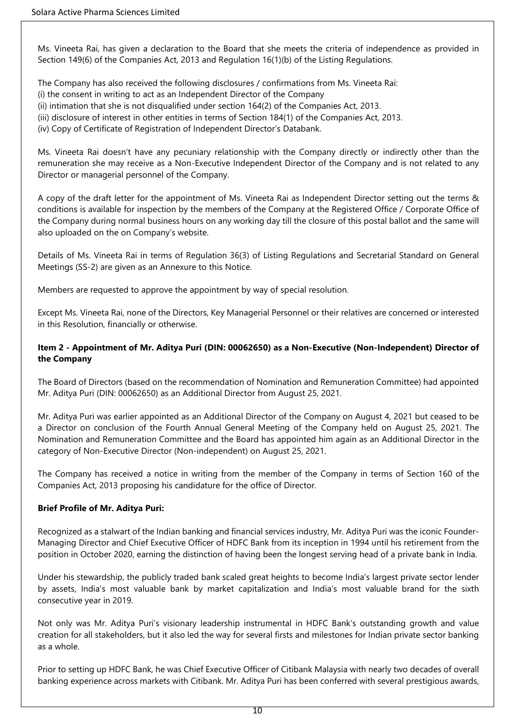Ms. Vineeta Rai, has given a declaration to the Board that she meets the criteria of independence as provided in Section 149(6) of the Companies Act, 2013 and Regulation 16(1)(b) of the Listing Regulations.

The Company has also received the following disclosures / confirmations from Ms. Vineeta Rai:

(i) the consent in writing to act as an Independent Director of the Company

(ii) intimation that she is not disqualified under section 164(2) of the Companies Act, 2013.

(iii) disclosure of interest in other entities in terms of Section 184(1) of the Companies Act, 2013.

(iv) Copy of Certificate of Registration of Independent Director's Databank.

Ms. Vineeta Rai doesn't have any pecuniary relationship with the Company directly or indirectly other than the remuneration she may receive as a Non-Executive Independent Director of the Company and is not related to any Director or managerial personnel of the Company.

A copy of the draft letter for the appointment of Ms. Vineeta Rai as Independent Director setting out the terms & conditions is available for inspection by the members of the Company at the Registered Office / Corporate Office of the Company during normal business hours on any working day till the closure of this postal ballot and the same will also uploaded on the on Company's website.

Details of Ms. Vineeta Rai in terms of Regulation 36(3) of Listing Regulations and Secretarial Standard on General Meetings (SS-2) are given as an Annexure to this Notice.

Members are requested to approve the appointment by way of special resolution.

Except Ms. Vineeta Rai, none of the Directors, Key Managerial Personnel or their relatives are concerned or interested in this Resolution, financially or otherwise.

## **Item 2 - Appointment of Mr. Aditya Puri (DIN: 00062650) as a Non-Executive (Non-Independent) Director of the Company**

The Board of Directors (based on the recommendation of Nomination and Remuneration Committee) had appointed Mr. Aditya Puri (DIN: 00062650) as an Additional Director from August 25, 2021.

Mr. Aditya Puri was earlier appointed as an Additional Director of the Company on August 4, 2021 but ceased to be a Director on conclusion of the Fourth Annual General Meeting of the Company held on August 25, 2021. The Nomination and Remuneration Committee and the Board has appointed him again as an Additional Director in the category of Non-Executive Director (Non-independent) on August 25, 2021.

The Company has received a notice in writing from the member of the Company in terms of Section 160 of the Companies Act, 2013 proposing his candidature for the office of Director.

## **Brief Profile of Mr. Aditya Puri:**

Recognized as a stalwart of the Indian banking and financial services industry, Mr. Aditya Puri was the iconic Founder-Managing Director and Chief Executive Officer of HDFC Bank from its inception in 1994 until his retirement from the position in October 2020, earning the distinction of having been the longest serving head of a private bank in India.

Under his stewardship, the publicly traded bank scaled great heights to become India's largest private sector lender by assets, India's most valuable bank by market capitalization and India's most valuable brand for the sixth consecutive year in 2019.

Not only was Mr. Aditya Puri's visionary leadership instrumental in HDFC Bank's outstanding growth and value creation for all stakeholders, but it also led the way for several firsts and milestones for Indian private sector banking as a whole.

Prior to setting up HDFC Bank, he was Chief Executive Officer of Citibank Malaysia with nearly two decades of overall banking experience across markets with Citibank. Mr. Aditya Puri has been conferred with several prestigious awards,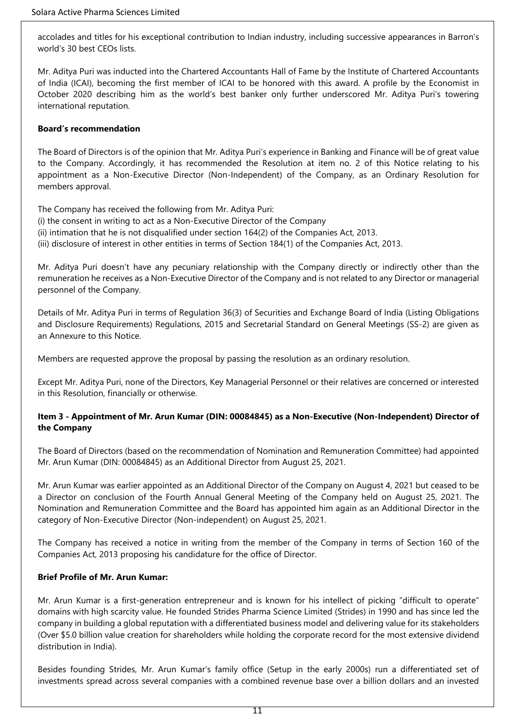accolades and titles for his exceptional contribution to Indian industry, including successive appearances in Barron's world's 30 best CEOs lists.

Mr. Aditya Puri was inducted into the Chartered Accountants Hall of Fame by the Institute of Chartered Accountants of India (ICAI), becoming the first member of ICAI to be honored with this award. A profile by the Economist in October 2020 describing him as the world's best banker only further underscored Mr. Aditya Puri's towering international reputation.

#### **Board's recommendation**

The Board of Directors is of the opinion that Mr. Aditya Puri's experience in Banking and Finance will be of great value to the Company. Accordingly, it has recommended the Resolution at item no. 2 of this Notice relating to his appointment as a Non-Executive Director (Non-Independent) of the Company, as an Ordinary Resolution for members approval.

The Company has received the following from Mr. Aditya Puri: (i) the consent in writing to act as a Non-Executive Director of the Company (ii) intimation that he is not disqualified under section 164(2) of the Companies Act, 2013. (iii) disclosure of interest in other entities in terms of Section 184(1) of the Companies Act, 2013.

Mr. Aditya Puri doesn't have any pecuniary relationship with the Company directly or indirectly other than the remuneration he receives as a Non-Executive Director of the Company and is not related to any Director or managerial personnel of the Company.

Details of Mr. Aditya Puri in terms of Regulation 36(3) of Securities and Exchange Board of India (Listing Obligations and Disclosure Requirements) Regulations, 2015 and Secretarial Standard on General Meetings (SS-2) are given as an Annexure to this Notice.

Members are requested approve the proposal by passing the resolution as an ordinary resolution.

Except Mr. Aditya Puri, none of the Directors, Key Managerial Personnel or their relatives are concerned or interested in this Resolution, financially or otherwise.

## **Item 3 - Appointment of Mr. Arun Kumar (DIN: 00084845) as a Non-Executive (Non-Independent) Director of the Company**

The Board of Directors (based on the recommendation of Nomination and Remuneration Committee) had appointed Mr. Arun Kumar (DIN: 00084845) as an Additional Director from August 25, 2021.

Mr. Arun Kumar was earlier appointed as an Additional Director of the Company on August 4, 2021 but ceased to be a Director on conclusion of the Fourth Annual General Meeting of the Company held on August 25, 2021. The Nomination and Remuneration Committee and the Board has appointed him again as an Additional Director in the category of Non-Executive Director (Non-independent) on August 25, 2021.

The Company has received a notice in writing from the member of the Company in terms of Section 160 of the Companies Act, 2013 proposing his candidature for the office of Director.

## **Brief Profile of Mr. Arun Kumar:**

Mr. Arun Kumar is a first-generation entrepreneur and is known for his intellect of picking "difficult to operate" domains with high scarcity value. He founded Strides Pharma Science Limited (Strides) in 1990 and has since led the company in building a global reputation with a differentiated business model and delivering value for its stakeholders (Over \$5.0 billion value creation for shareholders while holding the corporate record for the most extensive dividend distribution in India).

Besides founding Strides, Mr. Arun Kumar's family office (Setup in the early 2000s) run a differentiated set of investments spread across several companies with a combined revenue base over a billion dollars and an invested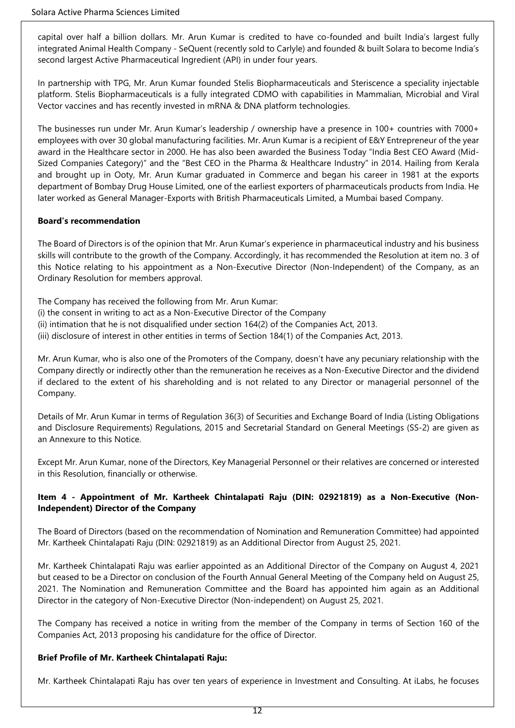capital over half a billion dollars. Mr. Arun Kumar is credited to have co-founded and built India's largest fully integrated Animal Health Company - SeQuent (recently sold to Carlyle) and founded & built Solara to become India's second largest Active Pharmaceutical Ingredient (API) in under four years.

In partnership with TPG, Mr. Arun Kumar founded Stelis Biopharmaceuticals and Steriscence a speciality injectable platform. Stelis Biopharmaceuticals is a fully integrated CDMO with capabilities in Mammalian, Microbial and Viral Vector vaccines and has recently invested in mRNA & DNA platform technologies.

The businesses run under Mr. Arun Kumar's leadership / ownership have a presence in 100+ countries with 7000+ employees with over 30 global manufacturing facilities. Mr. Arun Kumar is a recipient of E&Y Entrepreneur of the year award in the Healthcare sector in 2000. He has also been awarded the Business Today "India Best CEO Award (Mid-Sized Companies Category)" and the "Best CEO in the Pharma & Healthcare Industry" in 2014. Hailing from Kerala and brought up in Ooty, Mr. Arun Kumar graduated in Commerce and began his career in 1981 at the exports department of Bombay Drug House Limited, one of the earliest exporters of pharmaceuticals products from India. He later worked as General Manager-Exports with British Pharmaceuticals Limited, a Mumbai based Company.

#### **Board's recommendation**

The Board of Directors is of the opinion that Mr. Arun Kumar's experience in pharmaceutical industry and his business skills will contribute to the growth of the Company. Accordingly, it has recommended the Resolution at item no. 3 of this Notice relating to his appointment as a Non-Executive Director (Non-Independent) of the Company, as an Ordinary Resolution for members approval.

The Company has received the following from Mr. Arun Kumar:

- (i) the consent in writing to act as a Non-Executive Director of the Company
- (ii) intimation that he is not disqualified under section 164(2) of the Companies Act, 2013.
- (iii) disclosure of interest in other entities in terms of Section 184(1) of the Companies Act, 2013.

Mr. Arun Kumar, who is also one of the Promoters of the Company, doesn't have any pecuniary relationship with the Company directly or indirectly other than the remuneration he receives as a Non-Executive Director and the dividend if declared to the extent of his shareholding and is not related to any Director or managerial personnel of the Company.

Details of Mr. Arun Kumar in terms of Regulation 36(3) of Securities and Exchange Board of India (Listing Obligations and Disclosure Requirements) Regulations, 2015 and Secretarial Standard on General Meetings (SS-2) are given as an Annexure to this Notice.

Except Mr. Arun Kumar, none of the Directors, Key Managerial Personnel or their relatives are concerned or interested in this Resolution, financially or otherwise.

# **Item 4 - Appointment of Mr. Kartheek Chintalapati Raju (DIN: 02921819) as a Non-Executive (Non-Independent) Director of the Company**

The Board of Directors (based on the recommendation of Nomination and Remuneration Committee) had appointed Mr. Kartheek Chintalapati Raju (DIN: 02921819) as an Additional Director from August 25, 2021.

Mr. Kartheek Chintalapati Raju was earlier appointed as an Additional Director of the Company on August 4, 2021 but ceased to be a Director on conclusion of the Fourth Annual General Meeting of the Company held on August 25, 2021. The Nomination and Remuneration Committee and the Board has appointed him again as an Additional Director in the category of Non-Executive Director (Non-independent) on August 25, 2021.

The Company has received a notice in writing from the member of the Company in terms of Section 160 of the Companies Act, 2013 proposing his candidature for the office of Director.

## **Brief Profile of Mr. Kartheek Chintalapati Raju:**

Mr. Kartheek Chintalapati Raju has over ten years of experience in Investment and Consulting. At iLabs, he focuses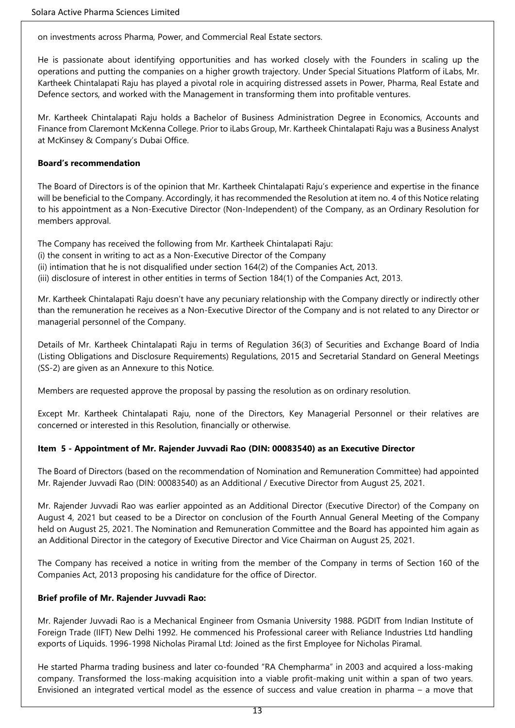on investments across Pharma, Power, and Commercial Real Estate sectors.

He is passionate about identifying opportunities and has worked closely with the Founders in scaling up the operations and putting the companies on a higher growth trajectory. Under Special Situations Platform of iLabs, Mr. Kartheek Chintalapati Raju has played a pivotal role in acquiring distressed assets in Power, Pharma, Real Estate and Defence sectors, and worked with the Management in transforming them into profitable ventures.

Mr. Kartheek Chintalapati Raju holds a Bachelor of Business Administration Degree in Economics, Accounts and Finance from Claremont McKenna College. Prior to iLabs Group, Mr. Kartheek Chintalapati Raju was a Business Analyst at McKinsey & Company's Dubai Office.

#### **Board's recommendation**

The Board of Directors is of the opinion that Mr. Kartheek Chintalapati Raju's experience and expertise in the finance will be beneficial to the Company. Accordingly, it has recommended the Resolution at item no. 4 of this Notice relating to his appointment as a Non-Executive Director (Non-Independent) of the Company, as an Ordinary Resolution for members approval.

The Company has received the following from Mr. Kartheek Chintalapati Raju:

- (i) the consent in writing to act as a Non-Executive Director of the Company
- (ii) intimation that he is not disqualified under section 164(2) of the Companies Act, 2013.
- (iii) disclosure of interest in other entities in terms of Section 184(1) of the Companies Act, 2013.

Mr. Kartheek Chintalapati Raju doesn't have any pecuniary relationship with the Company directly or indirectly other than the remuneration he receives as a Non-Executive Director of the Company and is not related to any Director or managerial personnel of the Company.

Details of Mr. Kartheek Chintalapati Raju in terms of Regulation 36(3) of Securities and Exchange Board of India (Listing Obligations and Disclosure Requirements) Regulations, 2015 and Secretarial Standard on General Meetings (SS-2) are given as an Annexure to this Notice.

Members are requested approve the proposal by passing the resolution as on ordinary resolution.

Except Mr. Kartheek Chintalapati Raju, none of the Directors, Key Managerial Personnel or their relatives are concerned or interested in this Resolution, financially or otherwise.

## **Item 5 - Appointment of Mr. Rajender Juvvadi Rao (DIN: 00083540) as an Executive Director**

The Board of Directors (based on the recommendation of Nomination and Remuneration Committee) had appointed Mr. Rajender Juvvadi Rao (DIN: 00083540) as an Additional / Executive Director from August 25, 2021.

Mr. Rajender Juvvadi Rao was earlier appointed as an Additional Director (Executive Director) of the Company on August 4, 2021 but ceased to be a Director on conclusion of the Fourth Annual General Meeting of the Company held on August 25, 2021. The Nomination and Remuneration Committee and the Board has appointed him again as an Additional Director in the category of Executive Director and Vice Chairman on August 25, 2021.

The Company has received a notice in writing from the member of the Company in terms of Section 160 of the Companies Act, 2013 proposing his candidature for the office of Director.

## **Brief profile of Mr. Rajender Juvvadi Rao:**

Mr. Rajender Juvvadi Rao is a Mechanical Engineer from Osmania University 1988. PGDIT from Indian Institute of Foreign Trade (IIFT) New Delhi 1992. He commenced his Professional career with Reliance Industries Ltd handling exports of Liquids. 1996-1998 Nicholas Piramal Ltd: Joined as the first Employee for Nicholas Piramal.

He started Pharma trading business and later co-founded "RA Chempharma" in 2003 and acquired a loss-making company. Transformed the loss-making acquisition into a viable profit-making unit within a span of two years. Envisioned an integrated vertical model as the essence of success and value creation in pharma – a move that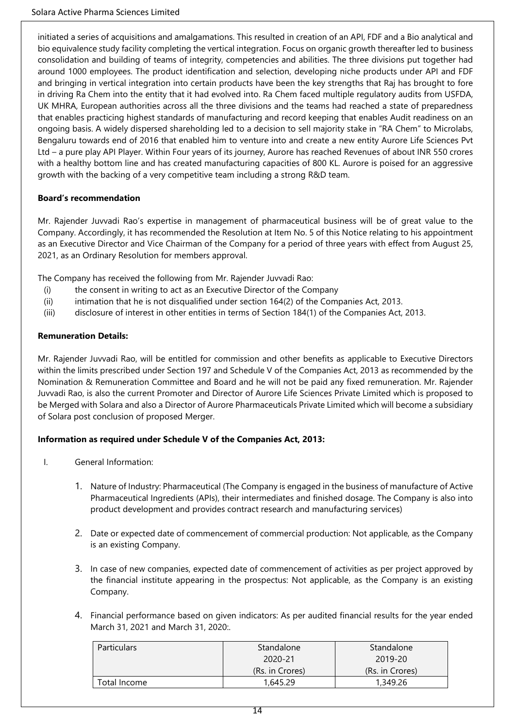initiated a series of acquisitions and amalgamations. This resulted in creation of an API, FDF and a Bio analytical and bio equivalence study facility completing the vertical integration. Focus on organic growth thereafter led to business consolidation and building of teams of integrity, competencies and abilities. The three divisions put together had around 1000 employees. The product identification and selection, developing niche products under API and FDF and bringing in vertical integration into certain products have been the key strengths that Raj has brought to fore in driving Ra Chem into the entity that it had evolved into. Ra Chem faced multiple regulatory audits from USFDA, UK MHRA, European authorities across all the three divisions and the teams had reached a state of preparedness that enables practicing highest standards of manufacturing and record keeping that enables Audit readiness on an ongoing basis. A widely dispersed shareholding led to a decision to sell majority stake in "RA Chem" to Microlabs, Bengaluru towards end of 2016 that enabled him to venture into and create a new entity Aurore Life Sciences Pvt Ltd – a pure play API Player. Within Four years of its journey, Aurore has reached Revenues of about INR 550 crores with a healthy bottom line and has created manufacturing capacities of 800 KL. Aurore is poised for an aggressive growth with the backing of a very competitive team including a strong R&D team.

# **Board's recommendation**

Mr. Rajender Juvvadi Rao's expertise in management of pharmaceutical business will be of great value to the Company. Accordingly, it has recommended the Resolution at Item No. 5 of this Notice relating to his appointment as an Executive Director and Vice Chairman of the Company for a period of three years with effect from August 25, 2021, as an Ordinary Resolution for members approval.

The Company has received the following from Mr. Rajender Juvvadi Rao:

- (i) the consent in writing to act as an Executive Director of the Company
- (ii) intimation that he is not disqualified under section 164(2) of the Companies Act, 2013.
- (iii) disclosure of interest in other entities in terms of Section 184(1) of the Companies Act, 2013.

## **Remuneration Details:**

Mr. Rajender Juvvadi Rao, will be entitled for commission and other benefits as applicable to Executive Directors within the limits prescribed under Section 197 and Schedule V of the Companies Act, 2013 as recommended by the Nomination & Remuneration Committee and Board and he will not be paid any fixed remuneration. Mr. Rajender Juvvadi Rao, is also the current Promoter and Director of Aurore Life Sciences Private Limited which is proposed to be Merged with Solara and also a Director of Aurore Pharmaceuticals Private Limited which will become a subsidiary of Solara post conclusion of proposed Merger.

# **Information as required under Schedule V of the Companies Act, 2013:**

- I. General Information:
	- 1. Nature of Industry: Pharmaceutical (The Company is engaged in the business of manufacture of Active Pharmaceutical Ingredients (APIs), their intermediates and finished dosage. The Company is also into product development and provides contract research and manufacturing services)
	- 2. Date or expected date of commencement of commercial production: Not applicable, as the Company is an existing Company.
	- 3. In case of new companies, expected date of commencement of activities as per project approved by the financial institute appearing in the prospectus: Not applicable, as the Company is an existing Company.
	- 4. Financial performance based on given indicators: As per audited financial results for the year ended March 31, 2021 and March 31, 2020:.

| <b>Particulars</b> | Standalone      | Standalone      |  |
|--------------------|-----------------|-----------------|--|
|                    | 2020-21         | 2019-20         |  |
|                    | (Rs. in Crores) | (Rs. in Crores) |  |
| Total Income       | 1,645.29        | 1,349.26        |  |
|                    |                 |                 |  |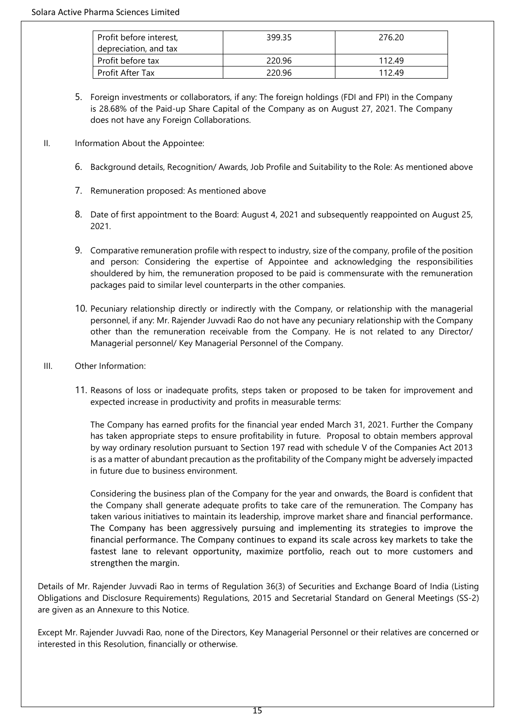| Profit before interest, | 399.35 | 276.20 |  |
|-------------------------|--------|--------|--|
| depreciation, and tax   |        |        |  |
| Profit before tax       | 220.96 | 112.49 |  |
| Profit After Tax        | 220.96 | 112.49 |  |

- 5. Foreign investments or collaborators, if any: The foreign holdings (FDI and FPI) in the Company is 28.68% of the Paid-up Share Capital of the Company as on August 27, 2021. The Company does not have any Foreign Collaborations.
- II. Information About the Appointee:
	- 6. Background details, Recognition/ Awards, Job Profile and Suitability to the Role: As mentioned above
	- 7. Remuneration proposed: As mentioned above
	- 8. Date of first appointment to the Board: August 4, 2021 and subsequently reappointed on August 25, 2021.
	- 9. Comparative remuneration profile with respect to industry, size of the company, profile of the position and person: Considering the expertise of Appointee and acknowledging the responsibilities shouldered by him, the remuneration proposed to be paid is commensurate with the remuneration packages paid to similar level counterparts in the other companies.
	- 10. Pecuniary relationship directly or indirectly with the Company, or relationship with the managerial personnel, if any: Mr. Rajender Juvvadi Rao do not have any pecuniary relationship with the Company other than the remuneration receivable from the Company. He is not related to any Director/ Managerial personnel/ Key Managerial Personnel of the Company.
- III. Other Information:
	- 11. Reasons of loss or inadequate profits, steps taken or proposed to be taken for improvement and expected increase in productivity and profits in measurable terms:

The Company has earned profits for the financial year ended March 31, 2021. Further the Company has taken appropriate steps to ensure profitability in future. Proposal to obtain members approval by way ordinary resolution pursuant to Section 197 read with schedule V of the Companies Act 2013 is as a matter of abundant precaution as the profitability of the Company might be adversely impacted in future due to business environment.

Considering the business plan of the Company for the year and onwards, the Board is confident that the Company shall generate adequate profits to take care of the remuneration. The Company has taken various initiatives to maintain its leadership, improve market share and financial performance. The Company has been aggressively pursuing and implementing its strategies to improve the financial performance. The Company continues to expand its scale across key markets to take the fastest lane to relevant opportunity, maximize portfolio, reach out to more customers and strengthen the margin.

Details of Mr. Rajender Juvvadi Rao in terms of Regulation 36(3) of Securities and Exchange Board of India (Listing Obligations and Disclosure Requirements) Regulations, 2015 and Secretarial Standard on General Meetings (SS-2) are given as an Annexure to this Notice.

Except Mr. Rajender Juvvadi Rao, none of the Directors, Key Managerial Personnel or their relatives are concerned or interested in this Resolution, financially or otherwise.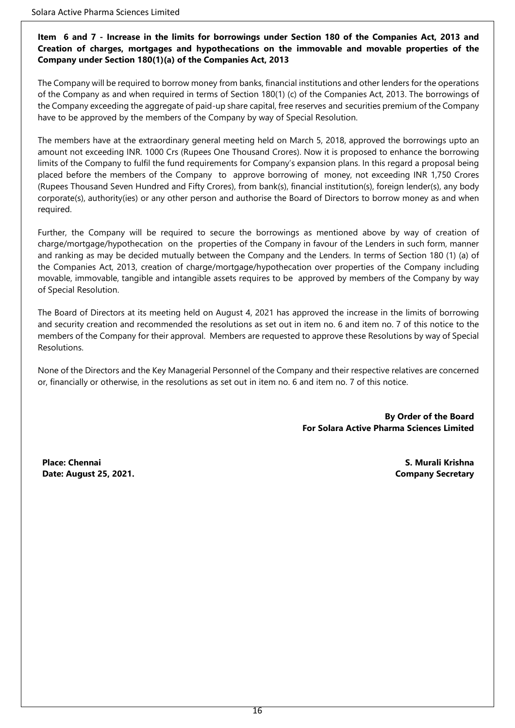### **Item 6 and 7 - Increase in the limits for borrowings under Section 180 of the Companies Act, 2013 and Creation of charges, mortgages and hypothecations on the immovable and movable properties of the Company under Section 180(1)(a) of the Companies Act, 2013**

The Company will be required to borrow money from banks, financial institutions and other lenders for the operations of the Company as and when required in terms of Section 180(1) (c) of the Companies Act, 2013. The borrowings of the Company exceeding the aggregate of paid-up share capital, free reserves and securities premium of the Company have to be approved by the members of the Company by way of Special Resolution.

The members have at the extraordinary general meeting held on March 5, 2018, approved the borrowings upto an amount not exceeding INR. 1000 Crs (Rupees One Thousand Crores). Now it is proposed to enhance the borrowing limits of the Company to fulfil the fund requirements for Company's expansion plans. In this regard a proposal being placed before the members of the Company to approve borrowing of money, not exceeding INR 1,750 Crores (Rupees Thousand Seven Hundred and Fifty Crores), from bank(s), financial institution(s), foreign lender(s), any body corporate(s), authority(ies) or any other person and authorise the Board of Directors to borrow money as and when required.

Further, the Company will be required to secure the borrowings as mentioned above by way of creation of charge/mortgage/hypothecation on the properties of the Company in favour of the Lenders in such form, manner and ranking as may be decided mutually between the Company and the Lenders. In terms of Section 180 (1) (a) of the Companies Act, 2013, creation of charge/mortgage/hypothecation over properties of the Company including movable, immovable, tangible and intangible assets requires to be approved by members of the Company by way of Special Resolution.

The Board of Directors at its meeting held on August 4, 2021 has approved the increase in the limits of borrowing and security creation and recommended the resolutions as set out in item no. 6 and item no. 7 of this notice to the members of the Company for their approval. Members are requested to approve these Resolutions by way of Special Resolutions.

None of the Directors and the Key Managerial Personnel of the Company and their respective relatives are concerned or, financially or otherwise, in the resolutions as set out in item no. 6 and item no. 7 of this notice.

> **By Order of the Board For Solara Active Pharma Sciences Limited**

**Place: Chennai S. Murali Krishna Date: August 25, 2021. Company Secretary**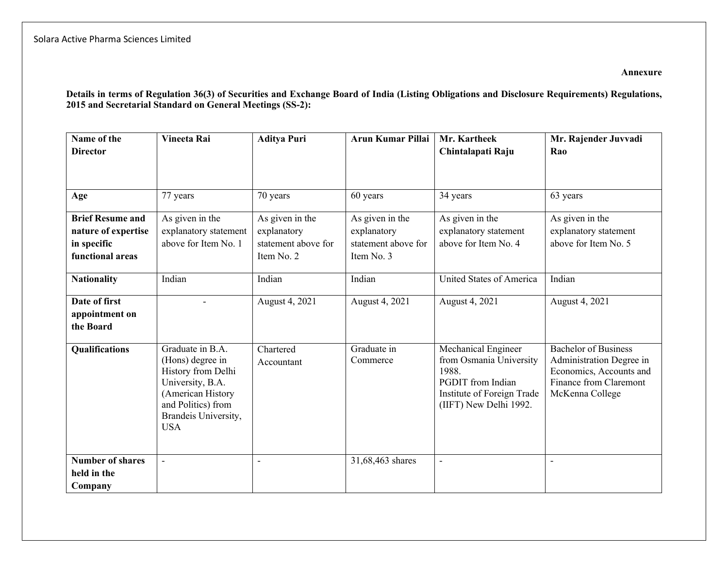**Details in terms of Regulation 36(3) of Securities and Exchange Board of India (Listing Obligations and Disclosure Requirements) Regulations, 2015 and Secretarial Standard on General Meetings (SS-2):**

| Name of the<br><b>Director</b>                                                    | <b>Vineeta Rai</b>                                                                                                                                              | <b>Aditya Puri</b>                                                  | Arun Kumar Pillai                                                   | Mr. Kartheek<br>Chintalapati Raju                                                                                                           | Mr. Rajender Juvvadi<br>Rao                                                                                                     |
|-----------------------------------------------------------------------------------|-----------------------------------------------------------------------------------------------------------------------------------------------------------------|---------------------------------------------------------------------|---------------------------------------------------------------------|---------------------------------------------------------------------------------------------------------------------------------------------|---------------------------------------------------------------------------------------------------------------------------------|
|                                                                                   |                                                                                                                                                                 |                                                                     |                                                                     |                                                                                                                                             |                                                                                                                                 |
| Age                                                                               | 77 years                                                                                                                                                        | 70 years                                                            | 60 years                                                            | 34 years                                                                                                                                    | 63 years                                                                                                                        |
| <b>Brief Resume and</b><br>nature of expertise<br>in specific<br>functional areas | As given in the<br>explanatory statement<br>above for Item No. 1                                                                                                | As given in the<br>explanatory<br>statement above for<br>Item No. 2 | As given in the<br>explanatory<br>statement above for<br>Item No. 3 | As given in the<br>explanatory statement<br>above for Item No. 4                                                                            | As given in the<br>explanatory statement<br>above for Item No. 5                                                                |
| <b>Nationality</b>                                                                | Indian                                                                                                                                                          | Indian                                                              | Indian                                                              | United States of America                                                                                                                    | Indian                                                                                                                          |
| Date of first<br>appointment on<br>the Board                                      |                                                                                                                                                                 | August 4, 2021                                                      | August 4, 2021                                                      | August 4, 2021                                                                                                                              | August 4, 2021                                                                                                                  |
| <b>Qualifications</b>                                                             | Graduate in B.A.<br>(Hons) degree in<br>History from Delhi<br>University, B.A.<br>(American History<br>and Politics) from<br>Brandeis University,<br><b>USA</b> | Chartered<br>Accountant                                             | Graduate in<br>Commerce                                             | Mechanical Engineer<br>from Osmania University<br>1988.<br><b>PGDIT</b> from Indian<br>Institute of Foreign Trade<br>(IIFT) New Delhi 1992. | <b>Bachelor of Business</b><br>Administration Degree in<br>Economics, Accounts and<br>Finance from Claremont<br>McKenna College |
| <b>Number of shares</b><br>held in the<br>Company                                 | $\overline{\phantom{a}}$                                                                                                                                        | $\overline{a}$                                                      | 31,68,463 shares                                                    | $\overline{\phantom{0}}$                                                                                                                    |                                                                                                                                 |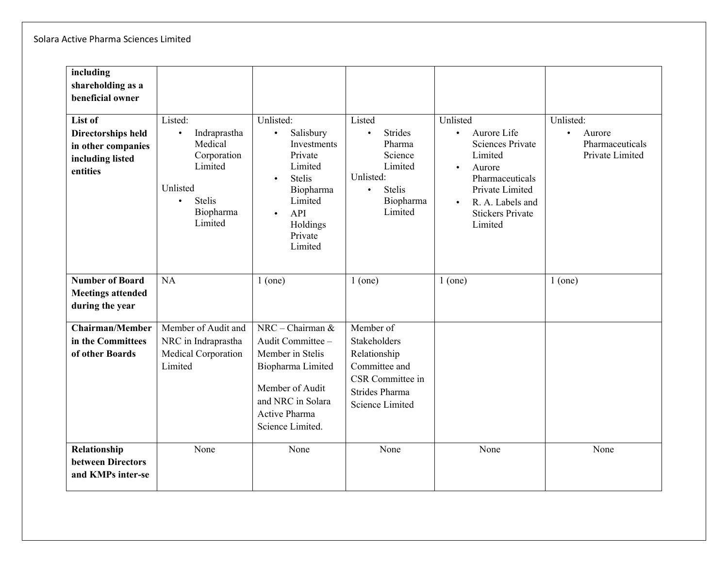Solara Active Pharma Sciences Limited

| including<br>shareholding as a<br>beneficial owner<br>List of<br>Directorships held<br>in other companies<br>including listed<br>entities | Listed:<br>Indraprastha<br>$\bullet$<br>Medical<br>Corporation<br>Limited<br>Unlisted<br>Stelis<br>$\bullet$<br>Biopharma<br>Limited | Unlisted:<br>Salisbury<br>$\bullet$<br>Investments<br>Private<br>Limited<br><b>Stelis</b><br>Biopharma<br>Limited<br>API<br>$\bullet$<br>Holdings<br>Private<br>Limited | Listed<br><b>Strides</b><br>$\bullet$<br>Pharma<br>Science<br>Limited<br>Unlisted:<br><b>Stelis</b><br>$\bullet$<br>Biopharma<br>Limited | Unlisted<br>Aurore Life<br>$\bullet$<br><b>Sciences Private</b><br>Limited<br>Aurore<br>$\bullet$<br>Pharmaceuticals<br>Private Limited<br>R. A. Labels and<br><b>Stickers Private</b><br>Limited | Unlisted:<br>Aurore<br>$\bullet$<br>Pharmaceuticals<br>Private Limited |
|-------------------------------------------------------------------------------------------------------------------------------------------|--------------------------------------------------------------------------------------------------------------------------------------|-------------------------------------------------------------------------------------------------------------------------------------------------------------------------|------------------------------------------------------------------------------------------------------------------------------------------|---------------------------------------------------------------------------------------------------------------------------------------------------------------------------------------------------|------------------------------------------------------------------------|
| <b>Number of Board</b><br><b>Meetings attended</b><br>during the year                                                                     | NA                                                                                                                                   | $1$ (one)                                                                                                                                                               | $1$ (one)                                                                                                                                | $1$ (one)                                                                                                                                                                                         | $1$ (one)                                                              |
| <b>Chairman/Member</b><br>in the Committees<br>of other Boards                                                                            | Member of Audit and<br>NRC in Indraprastha<br>Medical Corporation<br>Limited                                                         | NRC – Chairman &<br>Audit Committee -<br>Member in Stelis<br>Biopharma Limited<br>Member of Audit<br>and NRC in Solara<br>Active Pharma<br>Science Limited.             | Member of<br>Stakeholders<br>Relationship<br>Committee and<br>CSR Committee in<br>Strides Pharma<br><b>Science Limited</b>               |                                                                                                                                                                                                   |                                                                        |
| Relationship<br><b>between Directors</b><br>and KMPs inter-se                                                                             | None                                                                                                                                 | None                                                                                                                                                                    | None                                                                                                                                     | None                                                                                                                                                                                              | None                                                                   |